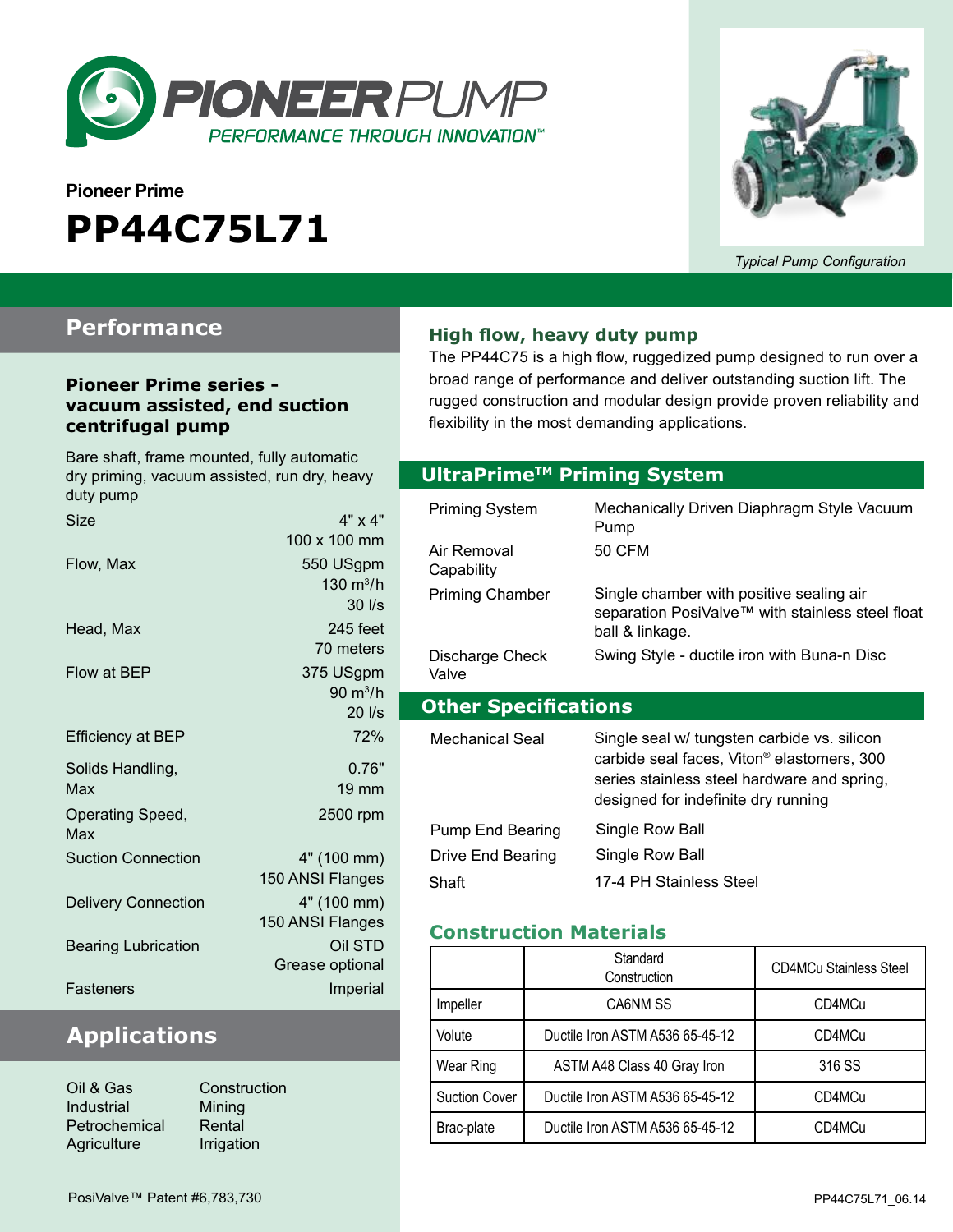

# **Pioneer Prime PP44C75L71**



*Typical Pump Configuration*

### **Performance**

#### **Pioneer Prime series vacuum assisted, end suction centrifugal pump**

#### Bare shaft, frame mounted, fully automatic dry priming, vacuum assisted, run dry, heavy duty pump Size  $4" \times 4"$ 100 x 100 mm Flow, Max 550 USgpm 130  $m^3/h$ 30 l/s Head, Max 245 feet 70 meters Flow at BEP 375 USgpm  $90 \text{ m}^3/h$ 20 l/s Efficiency at BEP 72% Solids Handling, Max 0.76" 19 mm Operating Speed, Max 2500 rpm Suction Connection 4" (100 mm) 150 ANSI Flanges Delivery Connection 4" (100 mm) 150 ANSI Flanges Bearing Lubrication **Dividends** Oil STD Grease optional Fasteners **Imperial**

### **Applications**

| Constr    |
|-----------|
| Mining    |
| Rental    |
| Irrigatio |
|           |

struction ation

#### **High flow, heavy duty pump**

The PP44C75 is a high flow, ruggedized pump designed to run over a broad range of performance and deliver outstanding suction lift. The rugged construction and modular design provide proven reliability and flexibility in the most demanding applications.

#### **Optional Priming System UltraPrimeTM Priming System**

| Priming System<br>Air Removal         | Mechanically Driven Diaphragm Style Vacuum<br>Pump<br>50 CFM                                                                                                                                |
|---------------------------------------|---------------------------------------------------------------------------------------------------------------------------------------------------------------------------------------------|
| Capability                            |                                                                                                                                                                                             |
| <b>Priming Chamber</b>                | Single chamber with positive sealing air<br>separation PosiValve™ with stainless steel float<br>ball & linkage.                                                                             |
| Discharge Check<br>Valve              | Swing Style - ductile iron with Buna-n Disc                                                                                                                                                 |
|                                       |                                                                                                                                                                                             |
| <b>Other Specifications</b>           |                                                                                                                                                                                             |
| Mechanical Seal                       | Single seal w/ tungsten carbide vs. silicon<br>carbide seal faces, Viton <sup>®</sup> elastomers, 300<br>series stainless steel hardware and spring,<br>designed for indefinite dry running |
| Pump End Bearing<br>Drive End Bearing | Single Row Ball<br>Single Row Ball                                                                                                                                                          |

#### **Construction Materials**

|                      | Standard<br>Construction        | <b>CD4MCu Stainless Steel</b> |  |
|----------------------|---------------------------------|-------------------------------|--|
| Impeller             | CA6NM SS                        | CD4MCu                        |  |
| Volute               | Ductile Iron ASTM A536 65-45-12 | CD4MCu                        |  |
| Wear Ring            | ASTM A48 Class 40 Gray Iron     | 316 SS                        |  |
| <b>Suction Cover</b> | Ductile Iron ASTM A536 65-45-12 | CD4MCu                        |  |
| Brac-plate           | Ductile Iron ASTM A536 65-45-12 | CD4MCu                        |  |